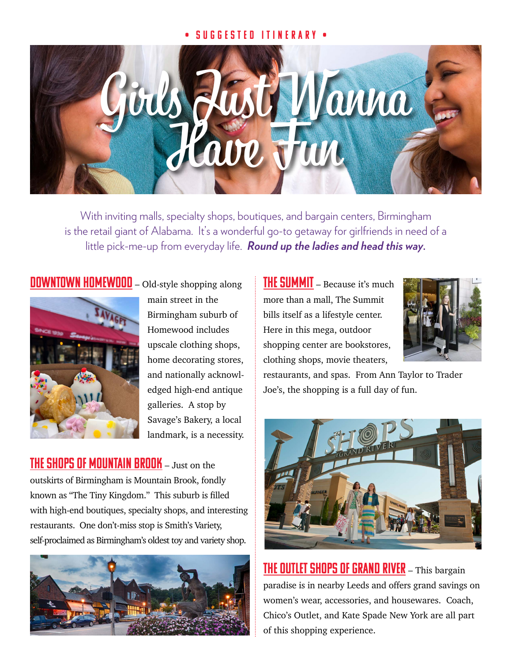## • Suggested Itinerary •



With inviting malls, specialty shops, boutiques, and bargain centers, Birmingham is the retail giant of Alabama. It's a wonderful go-to getaway for girlfriends in need of a little pick-me-up from everyday life. *Round up the ladies and head this way.*

**DOWNTOWN HOMEWOOD** - Old-style shopping along



main street in the Birmingham suburb of Homewood includes upscale clothing shops, home decorating stores, and nationally acknowledged high-end antique galleries. A stop by Savage's Bakery, a local landmark, is a necessity.

**THE SHOPS OF MOUNTAIN BROOK** – Just on the outskirts of Birmingham is Mountain Brook, fondly known as "The Tiny Kingdom." This suburb is filled with high-end boutiques, specialty shops, and interesting restaurants. One don't-miss stop is Smith's Variety, self-proclaimed as Birmingham's oldest toy and variety shop.



**THE SUMMIT** – Because it's much more than a mall, The Summit bills itself as a lifestyle center. Here in this mega, outdoor shopping center are bookstores, clothing shops, movie theaters,



restaurants, and spas. From Ann Taylor to Trader Joe's, the shopping is a full day of fun.



**THE OUTLET SHOPS OF GRAND RIVER** – This bargain paradise is in nearby Leeds and offers grand savings on women's wear, accessories, and housewares. Coach, Chico's Outlet, and Kate Spade New York are all part of this shopping experience.